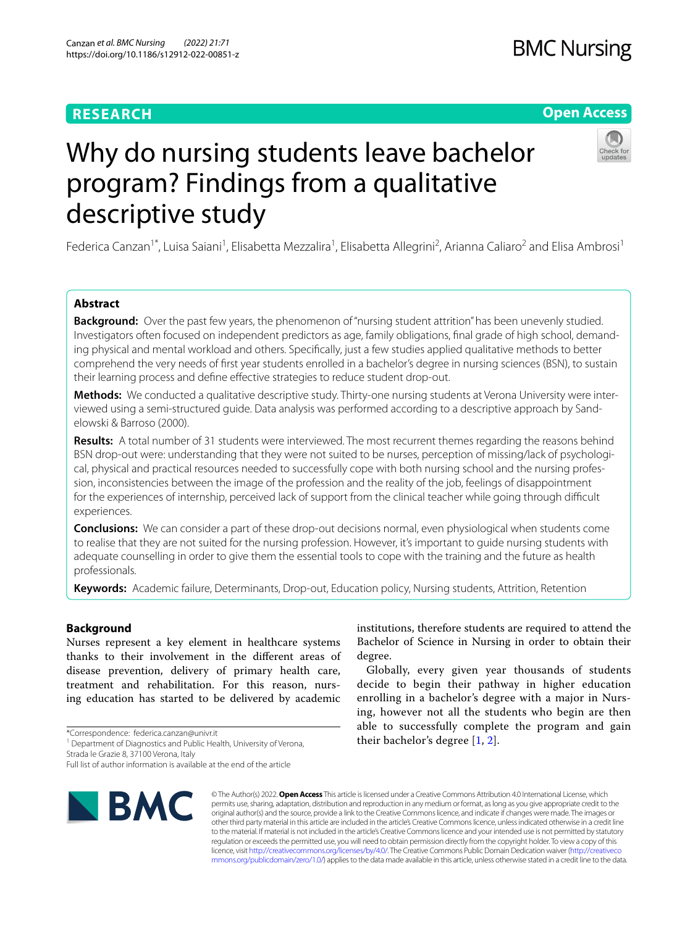# **RESEARCH**

# **Open Access**

# Why do nursing students leave bachelor program? Findings from a qualitative descriptive study

Federica Canzan<sup>1\*</sup>, Luisa Saiani<sup>1</sup>, Elisabetta Mezzalira<sup>1</sup>, Elisabetta Allegrini<sup>2</sup>, Arianna Caliaro<sup>2</sup> and Elisa Ambrosi<sup>1</sup>

# **Abstract**

**Background:** Over the past few years, the phenomenon of "nursing student attrition" has been unevenly studied. Investigators often focused on independent predictors as age, family obligations, fnal grade of high school, demanding physical and mental workload and others. Specifcally, just a few studies applied qualitative methods to better comprehend the very needs of frst year students enrolled in a bachelor's degree in nursing sciences (BSN), to sustain their learning process and define effective strategies to reduce student drop-out.

**Methods:** We conducted a qualitative descriptive study. Thirty-one nursing students at Verona University were interviewed using a semi-structured guide. Data analysis was performed according to a descriptive approach by Sandelowski & Barroso (2000).

**Results:** A total number of 31 students were interviewed. The most recurrent themes regarding the reasons behind BSN drop-out were: understanding that they were not suited to be nurses, perception of missing/lack of psychological, physical and practical resources needed to successfully cope with both nursing school and the nursing profession, inconsistencies between the image of the profession and the reality of the job, feelings of disappointment for the experiences of internship, perceived lack of support from the clinical teacher while going through difficult experiences.

**Conclusions:** We can consider a part of these drop-out decisions normal, even physiological when students come to realise that they are not suited for the nursing profession. However, it's important to guide nursing students with adequate counselling in order to give them the essential tools to cope with the training and the future as health professionals.

**Keywords:** Academic failure, Determinants, Drop-out, Education policy, Nursing students, Attrition, Retention

## **Background**

Nurses represent a key element in healthcare systems thanks to their involvement in the diferent areas of disease prevention, delivery of primary health care, treatment and rehabilitation. For this reason, nursing education has started to be delivered by academic

\*Correspondence: federica.canzan@univr.it

<sup>1</sup> Department of Diagnostics and Public Health, University of Verona,

Strada le Grazie 8, 37100 Verona, Italy

Full list of author information is available at the end of the article



institutions, therefore students are required to attend the Bachelor of Science in Nursing in order to obtain their degree.

Globally, every given year thousands of students decide to begin their pathway in higher education enrolling in a bachelor's degree with a major in Nursing, however not all the students who begin are then able to successfully complete the program and gain their bachelor's degree [[1](#page-8-0), [2\]](#page-8-1).

© The Author(s) 2022. **Open Access** This article is licensed under a Creative Commons Attribution 4.0 International License, which permits use, sharing, adaptation, distribution and reproduction in any medium or format, as long as you give appropriate credit to the original author(s) and the source, provide a link to the Creative Commons licence, and indicate if changes were made. The images or other third party material in this article are included in the article's Creative Commons licence, unless indicated otherwise in a credit line to the material. If material is not included in the article's Creative Commons licence and your intended use is not permitted by statutory regulation or exceeds the permitted use, you will need to obtain permission directly from the copyright holder. To view a copy of this licence, visit [http://creativecommons.org/licenses/by/4.0/.](http://creativecommons.org/licenses/by/4.0/) The Creative Commons Public Domain Dedication waiver ([http://creativeco](http://creativecommons.org/publicdomain/zero/1.0/) [mmons.org/publicdomain/zero/1.0/](http://creativecommons.org/publicdomain/zero/1.0/)) applies to the data made available in this article, unless otherwise stated in a credit line to the data.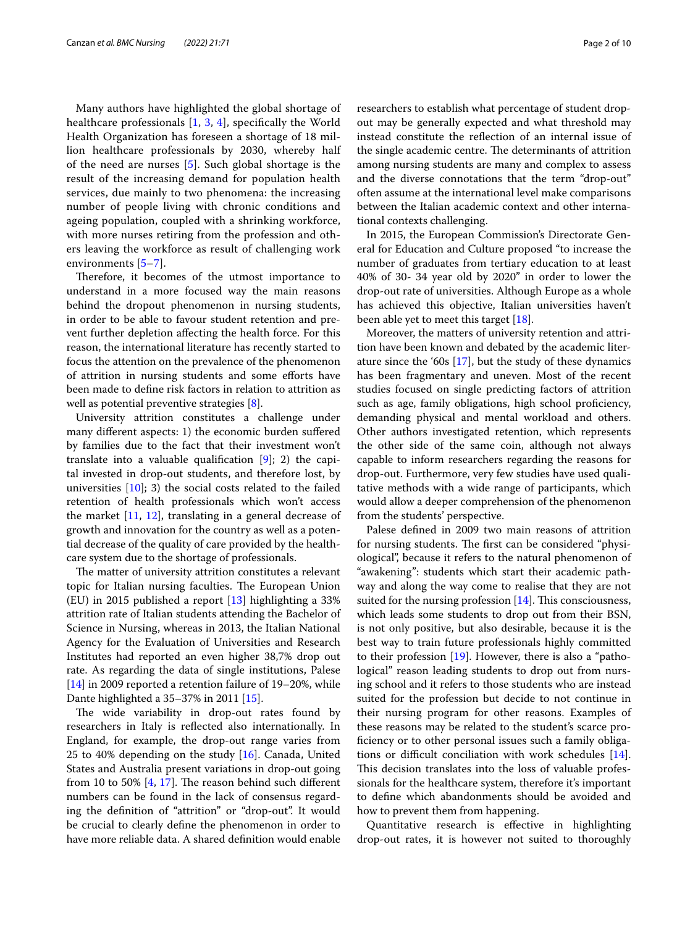Many authors have highlighted the global shortage of healthcare professionals  $[1, 3, 4]$  $[1, 3, 4]$  $[1, 3, 4]$  $[1, 3, 4]$  $[1, 3, 4]$  $[1, 3, 4]$ , specifically the World Health Organization has foreseen a shortage of 18 million healthcare professionals by 2030, whereby half of the need are nurses [\[5](#page-8-4)]. Such global shortage is the result of the increasing demand for population health services, due mainly to two phenomena: the increasing number of people living with chronic conditions and ageing population, coupled with a shrinking workforce, with more nurses retiring from the profession and others leaving the workforce as result of challenging work environments [\[5](#page-8-4)[–7](#page-8-5)].

Therefore, it becomes of the utmost importance to understand in a more focused way the main reasons behind the dropout phenomenon in nursing students, in order to be able to favour student retention and prevent further depletion afecting the health force. For this reason, the international literature has recently started to focus the attention on the prevalence of the phenomenon of attrition in nursing students and some eforts have been made to defne risk factors in relation to attrition as well as potential preventive strategies [\[8](#page-9-0)].

University attrition constitutes a challenge under many diferent aspects: 1) the economic burden sufered by families due to the fact that their investment won't translate into a valuable qualifcation [\[9](#page-9-1)]; 2) the capital invested in drop-out students, and therefore lost, by universities  $[10]$  $[10]$ ; 3) the social costs related to the failed retention of health professionals which won't access the market [[11,](#page-9-3) [12](#page-9-4)], translating in a general decrease of growth and innovation for the country as well as a potential decrease of the quality of care provided by the healthcare system due to the shortage of professionals.

The matter of university attrition constitutes a relevant topic for Italian nursing faculties. The European Union (EU) in 2015 published a report [\[13\]](#page-9-5) highlighting a 33% attrition rate of Italian students attending the Bachelor of Science in Nursing, whereas in 2013, the Italian National Agency for the Evaluation of Universities and Research Institutes had reported an even higher 38,7% drop out rate. As regarding the data of single institutions, Palese [[14\]](#page-9-6) in 2009 reported a retention failure of 19–20%, while Dante highlighted a 35–37% in 2011 [[15](#page-9-7)].

The wide variability in drop-out rates found by researchers in Italy is refected also internationally. In England, for example, the drop-out range varies from 25 to 40% depending on the study  $[16]$  $[16]$ . Canada, United States and Australia present variations in drop-out going from 10 to 50%  $[4, 17]$  $[4, 17]$  $[4, 17]$  $[4, 17]$ . The reason behind such different numbers can be found in the lack of consensus regarding the defnition of "attrition" or "drop-out". It would be crucial to clearly defne the phenomenon in order to have more reliable data. A shared defnition would enable researchers to establish what percentage of student dropout may be generally expected and what threshold may instead constitute the refection of an internal issue of the single academic centre. The determinants of attrition among nursing students are many and complex to assess and the diverse connotations that the term "drop-out" often assume at the international level make comparisons between the Italian academic context and other international contexts challenging.

In 2015, the European Commission's Directorate General for Education and Culture proposed "to increase the number of graduates from tertiary education to at least 40% of 30- 34 year old by 2020" in order to lower the drop-out rate of universities. Although Europe as a whole has achieved this objective, Italian universities haven't been able yet to meet this target [\[18](#page-9-10)].

Moreover, the matters of university retention and attrition have been known and debated by the academic literature since the '60s [\[17](#page-9-9)], but the study of these dynamics has been fragmentary and uneven. Most of the recent studies focused on single predicting factors of attrition such as age, family obligations, high school proficiency, demanding physical and mental workload and others. Other authors investigated retention, which represents the other side of the same coin, although not always capable to inform researchers regarding the reasons for drop-out. Furthermore, very few studies have used qualitative methods with a wide range of participants, which would allow a deeper comprehension of the phenomenon from the students' perspective.

Palese defned in 2009 two main reasons of attrition for nursing students. The first can be considered "physiological", because it refers to the natural phenomenon of "awakening": students which start their academic pathway and along the way come to realise that they are not suited for the nursing profession  $[14]$  $[14]$ . This consciousness, which leads some students to drop out from their BSN, is not only positive, but also desirable, because it is the best way to train future professionals highly committed to their profession [\[19](#page-9-11)]. However, there is also a "pathological" reason leading students to drop out from nursing school and it refers to those students who are instead suited for the profession but decide to not continue in their nursing program for other reasons. Examples of these reasons may be related to the student's scarce profciency or to other personal issues such a family obligations or difficult conciliation with work schedules  $[14]$  $[14]$ . This decision translates into the loss of valuable professionals for the healthcare system, therefore it's important to defne which abandonments should be avoided and how to prevent them from happening.

Quantitative research is efective in highlighting drop-out rates, it is however not suited to thoroughly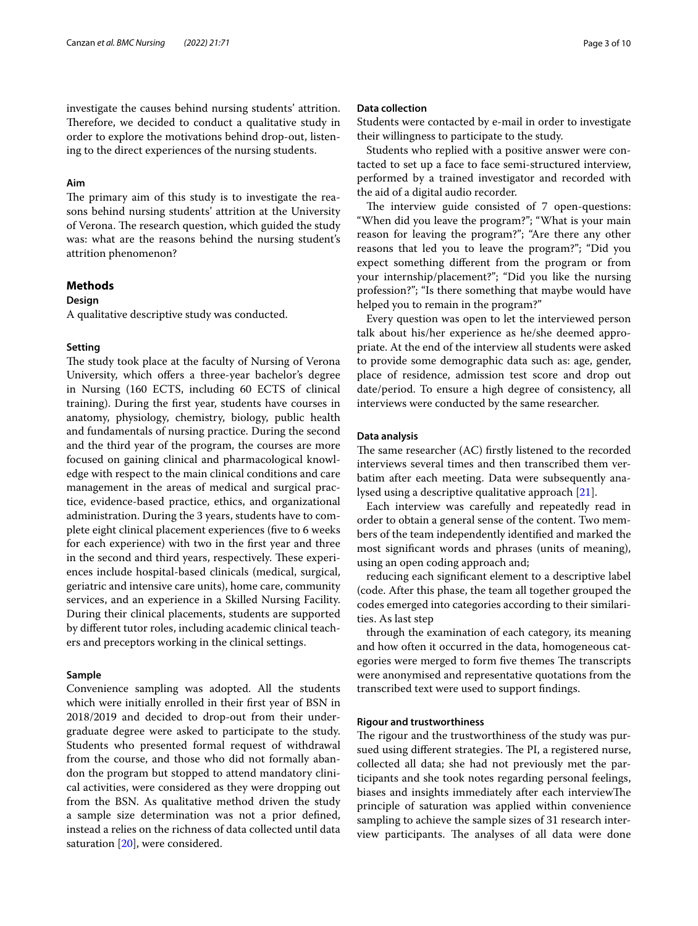investigate the causes behind nursing students' attrition. Therefore, we decided to conduct a qualitative study in order to explore the motivations behind drop-out, listening to the direct experiences of the nursing students.

#### **Aim**

The primary aim of this study is to investigate the reasons behind nursing students' attrition at the University of Verona. The research question, which guided the study was: what are the reasons behind the nursing student's attrition phenomenon?

### **Methods**

#### **Design**

A qualitative descriptive study was conducted.

#### **Setting**

The study took place at the faculty of Nursing of Verona University, which offers a three-year bachelor's degree in Nursing (160 ECTS, including 60 ECTS of clinical training). During the frst year, students have courses in anatomy, physiology, chemistry, biology, public health and fundamentals of nursing practice. During the second and the third year of the program, the courses are more focused on gaining clinical and pharmacological knowledge with respect to the main clinical conditions and care management in the areas of medical and surgical practice, evidence-based practice, ethics, and organizational administration. During the 3 years, students have to complete eight clinical placement experiences (fve to 6 weeks for each experience) with two in the frst year and three in the second and third years, respectively. These experiences include hospital-based clinicals (medical, surgical, geriatric and intensive care units), home care, community services, and an experience in a Skilled Nursing Facility. During their clinical placements, students are supported by diferent tutor roles, including academic clinical teachers and preceptors working in the clinical settings.

#### **Sample**

Convenience sampling was adopted. All the students which were initially enrolled in their frst year of BSN in 2018/2019 and decided to drop-out from their undergraduate degree were asked to participate to the study. Students who presented formal request of withdrawal from the course, and those who did not formally abandon the program but stopped to attend mandatory clinical activities, were considered as they were dropping out from the BSN. As qualitative method driven the study a sample size determination was not a prior defned, instead a relies on the richness of data collected until data saturation [\[20](#page-9-12)], were considered.

#### **Data collection**

Students were contacted by e-mail in order to investigate their willingness to participate to the study.

Students who replied with a positive answer were contacted to set up a face to face semi-structured interview, performed by a trained investigator and recorded with the aid of a digital audio recorder.

The interview guide consisted of 7 open-questions: "When did you leave the program?"; "What is your main reason for leaving the program?"; "Are there any other reasons that led you to leave the program?"; "Did you expect something diferent from the program or from your internship/placement?"; "Did you like the nursing profession?"; "Is there something that maybe would have helped you to remain in the program?"

Every question was open to let the interviewed person talk about his/her experience as he/she deemed appropriate. At the end of the interview all students were asked to provide some demographic data such as: age, gender, place of residence, admission test score and drop out date/period. To ensure a high degree of consistency, all interviews were conducted by the same researcher.

#### **Data analysis**

The same researcher (AC) firstly listened to the recorded interviews several times and then transcribed them verbatim after each meeting. Data were subsequently analysed using a descriptive qualitative approach [[21](#page-9-13)].

Each interview was carefully and repeatedly read in order to obtain a general sense of the content. Two members of the team independently identifed and marked the most signifcant words and phrases (units of meaning), using an open coding approach and;

reducing each signifcant element to a descriptive label (code. After this phase, the team all together grouped the codes emerged into categories according to their similarities. As last step

through the examination of each category, its meaning and how often it occurred in the data, homogeneous categories were merged to form five themes The transcripts were anonymised and representative quotations from the transcribed text were used to support fndings.

#### **Rigour and trustworthiness**

The rigour and the trustworthiness of the study was pursued using different strategies. The PI, a registered nurse, collected all data; she had not previously met the participants and she took notes regarding personal feelings, biases and insights immediately after each interviewThe principle of saturation was applied within convenience sampling to achieve the sample sizes of 31 research interview participants. The analyses of all data were done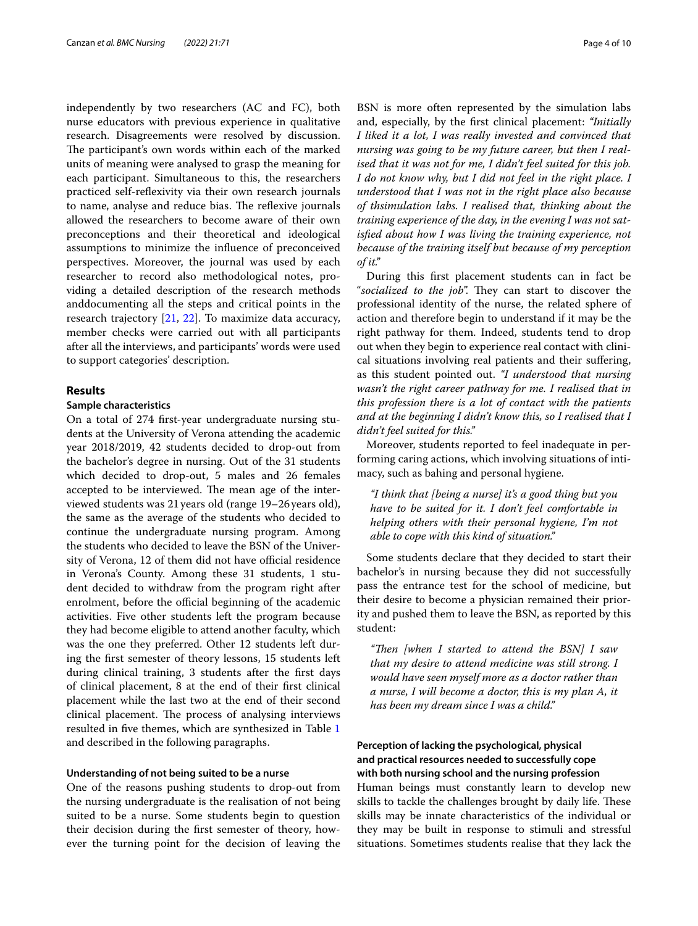independently by two researchers (AC and FC), both nurse educators with previous experience in qualitative research. Disagreements were resolved by discussion. The participant's own words within each of the marked units of meaning were analysed to grasp the meaning for each participant. Simultaneous to this, the researchers practiced self-refexivity via their own research journals to name, analyse and reduce bias. The reflexive journals allowed the researchers to become aware of their own preconceptions and their theoretical and ideological assumptions to minimize the infuence of preconceived perspectives. Moreover, the journal was used by each researcher to record also methodological notes, providing a detailed description of the research methods anddocumenting all the steps and critical points in the research trajectory [[21,](#page-9-13) [22](#page-9-14)]. To maximize data accuracy, member checks were carried out with all participants after all the interviews, and participants' words were used to support categories' description.

#### **Results**

#### **Sample characteristics**

On a total of 274 frst-year undergraduate nursing students at the University of Verona attending the academic year 2018/2019, 42 students decided to drop-out from the bachelor's degree in nursing. Out of the 31 students which decided to drop-out, 5 males and 26 females accepted to be interviewed. The mean age of the interviewed students was 21years old (range 19–26years old), the same as the average of the students who decided to continue the undergraduate nursing program. Among the students who decided to leave the BSN of the University of Verona, 12 of them did not have official residence in Verona's County. Among these 31 students, 1 student decided to withdraw from the program right after enrolment, before the official beginning of the academic activities. Five other students left the program because they had become eligible to attend another faculty, which was the one they preferred. Other 12 students left during the frst semester of theory lessons, 15 students left during clinical training, 3 students after the frst days of clinical placement, 8 at the end of their frst clinical placement while the last two at the end of their second clinical placement. The process of analysing interviews resulted in fve themes, which are synthesized in Table [1](#page-4-0) and described in the following paragraphs.

#### **Understanding of not being suited to be a nurse**

One of the reasons pushing students to drop-out from the nursing undergraduate is the realisation of not being suited to be a nurse. Some students begin to question their decision during the frst semester of theory, however the turning point for the decision of leaving the BSN is more often represented by the simulation labs and, especially, by the frst clinical placement: *"Initially I liked it a lot, I was really invested and convinced that nursing was going to be my future career, but then I realised that it was not for me, I didn't feel suited for this job. I do not know why, but I did not feel in the right place. I understood that I was not in the right place also because of thsimulation labs. I realised that, thinking about the training experience of the day, in the evening I was not satisfed about how I was living the training experience, not because of the training itself but because of my perception of it."*

During this frst placement students can in fact be "socialized to the job". They can start to discover the professional identity of the nurse, the related sphere of action and therefore begin to understand if it may be the right pathway for them. Indeed, students tend to drop out when they begin to experience real contact with clinical situations involving real patients and their sufering, as this student pointed out. *"I understood that nursing wasn't the right career pathway for me. I realised that in this profession there is a lot of contact with the patients and at the beginning I didn't know this, so I realised that I didn't feel suited for this."*

Moreover, students reported to feel inadequate in performing caring actions, which involving situations of intimacy, such as bahing and personal hygiene.

*"I think that [being a nurse] it's a good thing but you have to be suited for it. I don't feel comfortable in helping others with their personal hygiene, I'm not able to cope with this kind of situation."*

Some students declare that they decided to start their bachelor's in nursing because they did not successfully pass the entrance test for the school of medicine, but their desire to become a physician remained their priority and pushed them to leave the BSN, as reported by this student:

"Then [when I started to attend the BSN] I saw *that my desire to attend medicine was still strong. I would have seen myself more as a doctor rather than a nurse, I will become a doctor, this is my plan A, it has been my dream since I was a child."*

# **Perception of lacking the psychological, physical and practical resources needed to successfully cope with both nursing school and the nursing profession**

Human beings must constantly learn to develop new skills to tackle the challenges brought by daily life. These skills may be innate characteristics of the individual or they may be built in response to stimuli and stressful situations. Sometimes students realise that they lack the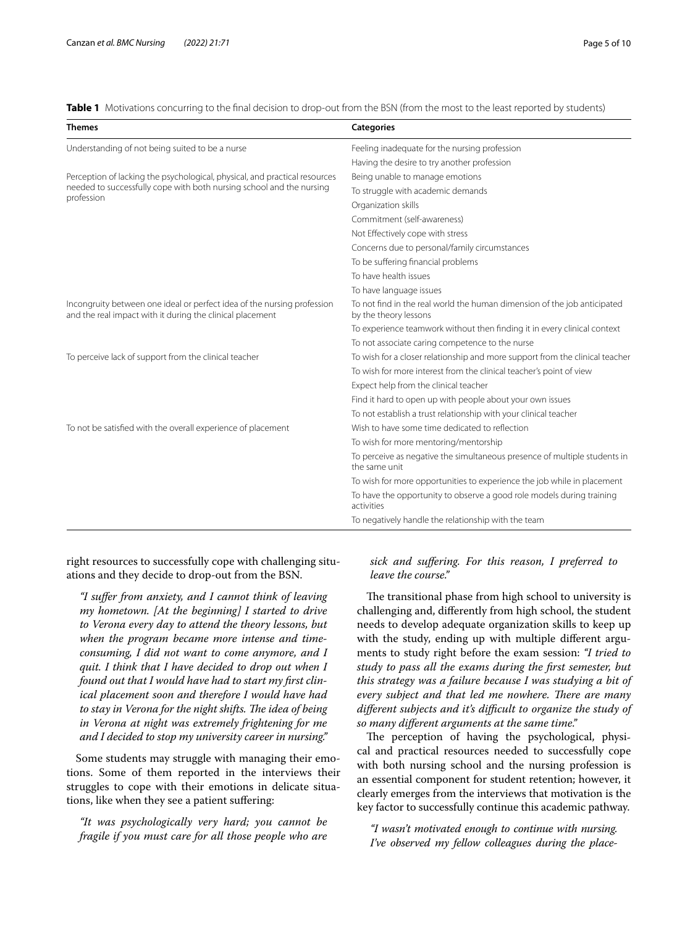<span id="page-4-0"></span>**Table 1** Motivations concurring to the final decision to drop-out from the BSN (from the most to the least reported by students)

| <b>Themes</b>                                                                                                                                                    | <b>Categories</b>                                                                                 |
|------------------------------------------------------------------------------------------------------------------------------------------------------------------|---------------------------------------------------------------------------------------------------|
| Understanding of not being suited to be a nurse                                                                                                                  | Feeling inadequate for the nursing profession                                                     |
|                                                                                                                                                                  | Having the desire to try another profession                                                       |
| Perception of lacking the psychological, physical, and practical resources<br>needed to successfully cope with both nursing school and the nursing<br>profession | Being unable to manage emotions                                                                   |
|                                                                                                                                                                  | To struggle with academic demands                                                                 |
|                                                                                                                                                                  | Organization skills                                                                               |
|                                                                                                                                                                  | Commitment (self-awareness)                                                                       |
|                                                                                                                                                                  | Not Effectively cope with stress                                                                  |
|                                                                                                                                                                  | Concerns due to personal/family circumstances                                                     |
|                                                                                                                                                                  | To be suffering financial problems                                                                |
|                                                                                                                                                                  | To have health issues                                                                             |
|                                                                                                                                                                  | To have language issues                                                                           |
| Incongruity between one ideal or perfect idea of the nursing profession<br>and the real impact with it during the clinical placement                             | To not find in the real world the human dimension of the job anticipated<br>by the theory lessons |
|                                                                                                                                                                  | To experience teamwork without then finding it in every clinical context                          |
|                                                                                                                                                                  | To not associate caring competence to the nurse                                                   |
| To perceive lack of support from the clinical teacher                                                                                                            | To wish for a closer relationship and more support from the clinical teacher                      |
|                                                                                                                                                                  | To wish for more interest from the clinical teacher's point of view                               |
|                                                                                                                                                                  | Expect help from the clinical teacher                                                             |
|                                                                                                                                                                  | Find it hard to open up with people about your own issues                                         |
|                                                                                                                                                                  | To not establish a trust relationship with your clinical teacher                                  |
| To not be satisfied with the overall experience of placement                                                                                                     | Wish to have some time dedicated to reflection                                                    |
|                                                                                                                                                                  | To wish for more mentoring/mentorship                                                             |
|                                                                                                                                                                  | To perceive as negative the simultaneous presence of multiple students in<br>the same unit        |
|                                                                                                                                                                  | To wish for more opportunities to experience the job while in placement                           |
|                                                                                                                                                                  | To have the opportunity to observe a good role models during training<br>activities               |
|                                                                                                                                                                  | To negatively handle the relationship with the team                                               |

right resources to successfully cope with challenging situations and they decide to drop-out from the BSN.

*"I sufer from anxiety, and I cannot think of leaving my hometown. [At the beginning] I started to drive to Verona every day to attend the theory lessons, but when the program became more intense and timeconsuming, I did not want to come anymore, and I quit. I think that I have decided to drop out when I found out that I would have had to start my frst clinical placement soon and therefore I would have had*  to stay in Verona for the night shifts. The idea of being *in Verona at night was extremely frightening for me and I decided to stop my university career in nursing."*

Some students may struggle with managing their emotions. Some of them reported in the interviews their struggles to cope with their emotions in delicate situations, like when they see a patient sufering:

*"It was psychologically very hard; you cannot be fragile if you must care for all those people who are* 

# *sick and sufering. For this reason, I preferred to leave the course."*

The transitional phase from high school to university is challenging and, diferently from high school, the student needs to develop adequate organization skills to keep up with the study, ending up with multiple diferent arguments to study right before the exam session: *"I tried to study to pass all the exams during the frst semester, but this strategy was a failure because I was studying a bit of every subject and that led me nowhere. There are many diferent subjects and it's difcult to organize the study of so many diferent arguments at the same time."*

The perception of having the psychological, physical and practical resources needed to successfully cope with both nursing school and the nursing profession is an essential component for student retention; however, it clearly emerges from the interviews that motivation is the key factor to successfully continue this academic pathway.

*"I wasn't motivated enough to continue with nursing. I've observed my fellow colleagues during the place-*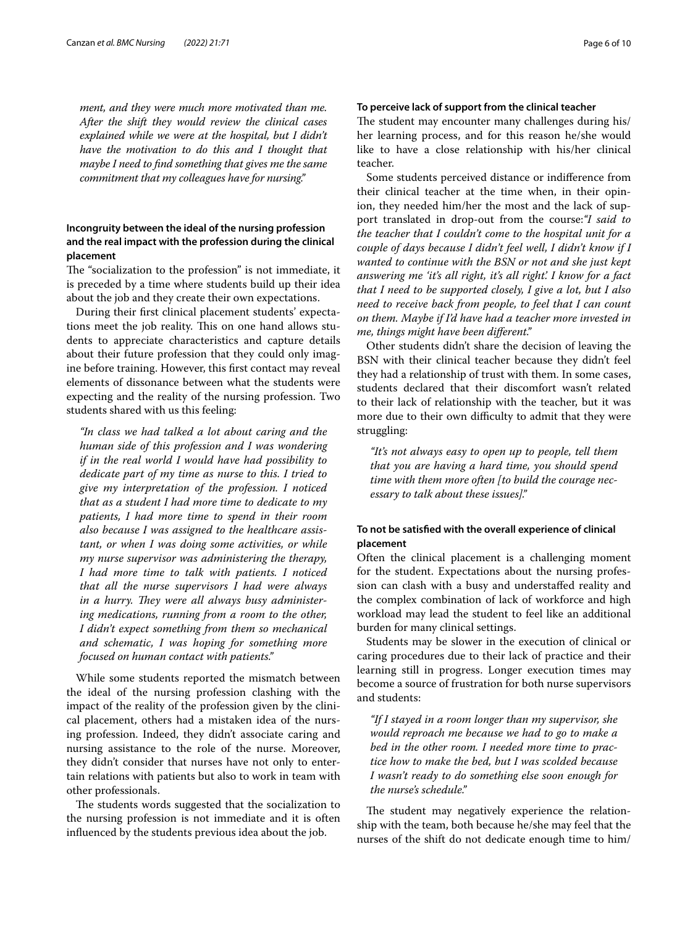*ment, and they were much more motivated than me. After the shift they would review the clinical cases explained while we were at the hospital, but I didn't have the motivation to do this and I thought that maybe I need to fnd something that gives me the same commitment that my colleagues have for nursing."*

# **Incongruity between the ideal of the nursing profession and the real impact with the profession during the clinical placement**

The "socialization to the profession" is not immediate, it is preceded by a time where students build up their idea about the job and they create their own expectations.

During their frst clinical placement students' expectations meet the job reality. This on one hand allows students to appreciate characteristics and capture details about their future profession that they could only imagine before training. However, this frst contact may reveal elements of dissonance between what the students were expecting and the reality of the nursing profession. Two students shared with us this feeling:

*"In class we had talked a lot about caring and the human side of this profession and I was wondering if in the real world I would have had possibility to dedicate part of my time as nurse to this. I tried to give my interpretation of the profession. I noticed that as a student I had more time to dedicate to my patients, I had more time to spend in their room also because I was assigned to the healthcare assistant, or when I was doing some activities, or while my nurse supervisor was administering the therapy, I had more time to talk with patients. I noticed that all the nurse supervisors I had were always*  in a hurry. They were all always busy administer*ing medications, running from a room to the other, I didn't expect something from them so mechanical and schematic, I was hoping for something more focused on human contact with patients."*

While some students reported the mismatch between the ideal of the nursing profession clashing with the impact of the reality of the profession given by the clinical placement, others had a mistaken idea of the nursing profession. Indeed, they didn't associate caring and nursing assistance to the role of the nurse. Moreover, they didn't consider that nurses have not only to entertain relations with patients but also to work in team with other professionals.

The students words suggested that the socialization to the nursing profession is not immediate and it is often infuenced by the students previous idea about the job.

#### **To perceive lack of support from the clinical teacher**

The student may encounter many challenges during his/ her learning process, and for this reason he/she would like to have a close relationship with his/her clinical teacher.

Some students perceived distance or indiference from their clinical teacher at the time when, in their opinion, they needed him/her the most and the lack of support translated in drop-out from the course:*"I said to the teacher that I couldn't come to the hospital unit for a couple of days because I didn't feel well, I didn't know if I wanted to continue with the BSN or not and she just kept answering me 'it's all right, it's all right'. I know for a fact that I need to be supported closely, I give a lot, but I also need to receive back from people, to feel that I can count on them. Maybe if I'd have had a teacher more invested in me, things might have been diferent."*

Other students didn't share the decision of leaving the BSN with their clinical teacher because they didn't feel they had a relationship of trust with them. In some cases, students declared that their discomfort wasn't related to their lack of relationship with the teacher, but it was more due to their own difficulty to admit that they were struggling:

*"It's not always easy to open up to people, tell them that you are having a hard time, you should spend time with them more often [to build the courage necessary to talk about these issues]."*

# **To not be satisfed with the overall experience of clinical placement**

Often the clinical placement is a challenging moment for the student. Expectations about the nursing profession can clash with a busy and understafed reality and the complex combination of lack of workforce and high workload may lead the student to feel like an additional burden for many clinical settings.

Students may be slower in the execution of clinical or caring procedures due to their lack of practice and their learning still in progress. Longer execution times may become a source of frustration for both nurse supervisors and students:

*"If I stayed in a room longer than my supervisor, she would reproach me because we had to go to make a bed in the other room. I needed more time to practice how to make the bed, but I was scolded because I wasn't ready to do something else soon enough for the nurse's schedule."*

The student may negatively experience the relationship with the team, both because he/she may feel that the nurses of the shift do not dedicate enough time to him/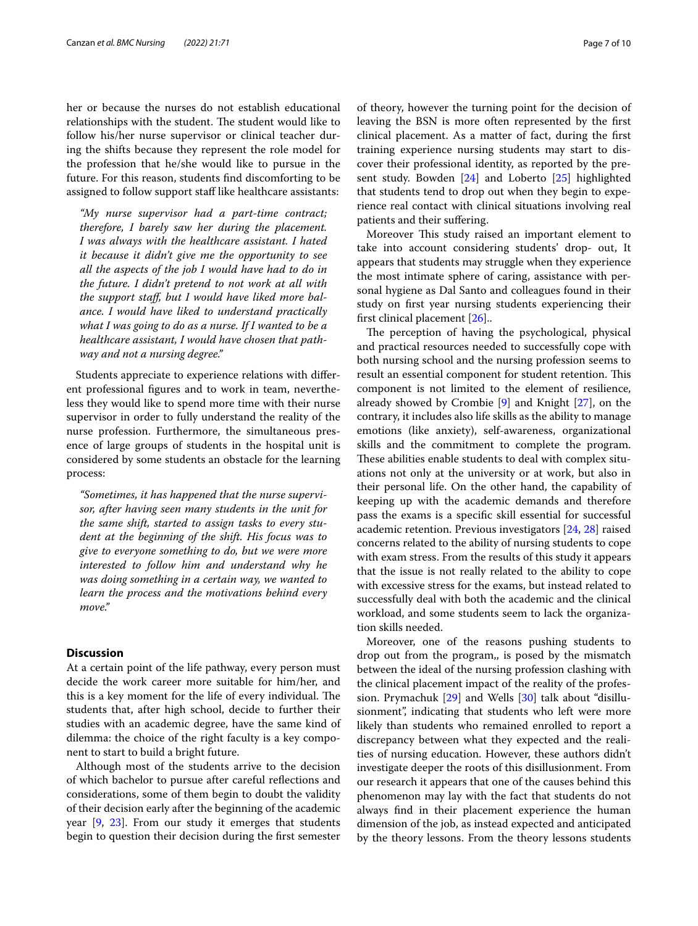her or because the nurses do not establish educational relationships with the student. The student would like to follow his/her nurse supervisor or clinical teacher during the shifts because they represent the role model for the profession that he/she would like to pursue in the future. For this reason, students fnd discomforting to be assigned to follow support staff like healthcare assistants:

*"My nurse supervisor had a part-time contract; therefore, I barely saw her during the placement. I was always with the healthcare assistant. I hated it because it didn't give me the opportunity to see all the aspects of the job I would have had to do in the future. I didn't pretend to not work at all with the support staf, but I would have liked more balance. I would have liked to understand practically what I was going to do as a nurse. If I wanted to be a healthcare assistant, I would have chosen that pathway and not a nursing degree."*

Students appreciate to experience relations with diferent professional fgures and to work in team, nevertheless they would like to spend more time with their nurse supervisor in order to fully understand the reality of the nurse profession. Furthermore, the simultaneous presence of large groups of students in the hospital unit is considered by some students an obstacle for the learning process:

*"Sometimes, it has happened that the nurse supervisor, after having seen many students in the unit for the same shift, started to assign tasks to every student at the beginning of the shift. His focus was to give to everyone something to do, but we were more interested to follow him and understand why he was doing something in a certain way, we wanted to learn the process and the motivations behind every move."*

#### **Discussion**

At a certain point of the life pathway, every person must decide the work career more suitable for him/her, and this is a key moment for the life of every individual. The students that, after high school, decide to further their studies with an academic degree, have the same kind of dilemma: the choice of the right faculty is a key component to start to build a bright future.

Although most of the students arrive to the decision of which bachelor to pursue after careful refections and considerations, some of them begin to doubt the validity of their decision early after the beginning of the academic year [[9,](#page-9-1) [23](#page-9-15)]. From our study it emerges that students begin to question their decision during the frst semester of theory, however the turning point for the decision of leaving the BSN is more often represented by the frst clinical placement. As a matter of fact, during the frst training experience nursing students may start to discover their professional identity, as reported by the present study. Bowden [\[24\]](#page-9-16) and Loberto [\[25](#page-9-17)] highlighted that students tend to drop out when they begin to experience real contact with clinical situations involving real patients and their sufering.

Moreover This study raised an important element to take into account considering students' drop- out, It appears that students may struggle when they experience the most intimate sphere of caring, assistance with personal hygiene as Dal Santo and colleagues found in their study on frst year nursing students experiencing their frst clinical placement [[26\]](#page-9-18)..

The perception of having the psychological, physical and practical resources needed to successfully cope with both nursing school and the nursing profession seems to result an essential component for student retention. This component is not limited to the element of resilience, already showed by Crombie [[9\]](#page-9-1) and Knight [[27\]](#page-9-19), on the contrary, it includes also life skills as the ability to manage emotions (like anxiety), self-awareness, organizational skills and the commitment to complete the program. These abilities enable students to deal with complex situations not only at the university or at work, but also in their personal life. On the other hand, the capability of keeping up with the academic demands and therefore pass the exams is a specifc skill essential for successful academic retention. Previous investigators [[24,](#page-9-16) [28](#page-9-20)] raised concerns related to the ability of nursing students to cope with exam stress. From the results of this study it appears that the issue is not really related to the ability to cope with excessive stress for the exams, but instead related to successfully deal with both the academic and the clinical workload, and some students seem to lack the organization skills needed.

Moreover, one of the reasons pushing students to drop out from the program,, is posed by the mismatch between the ideal of the nursing profession clashing with the clinical placement impact of the reality of the profession. Prymachuk [[29\]](#page-9-21) and Wells [\[30](#page-9-22)] talk about "disillusionment", indicating that students who left were more likely than students who remained enrolled to report a discrepancy between what they expected and the realities of nursing education. However, these authors didn't investigate deeper the roots of this disillusionment. From our research it appears that one of the causes behind this phenomenon may lay with the fact that students do not always fnd in their placement experience the human dimension of the job, as instead expected and anticipated by the theory lessons. From the theory lessons students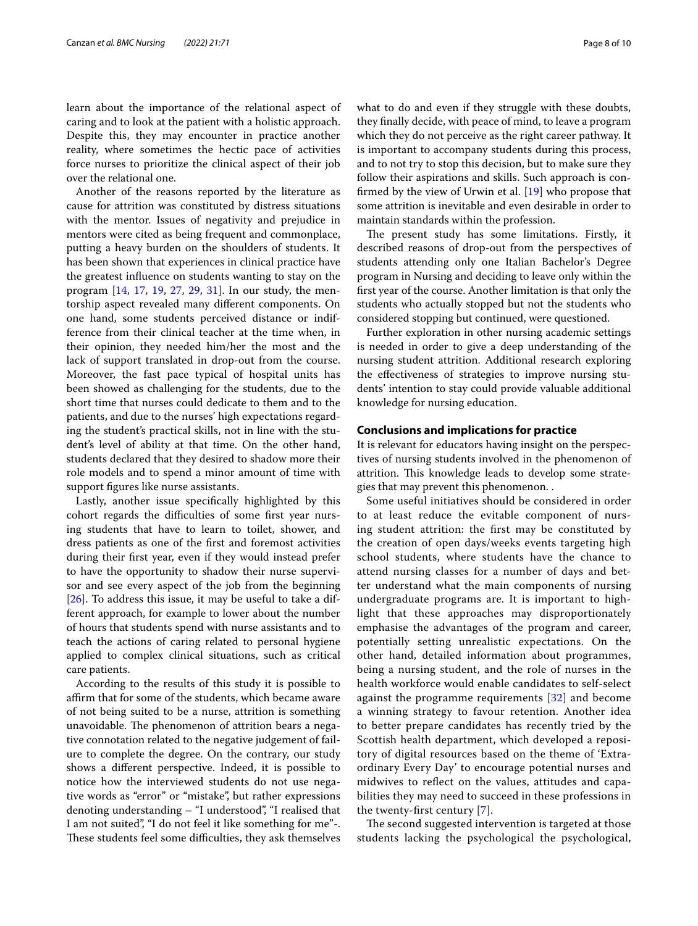learn about the importance of the relational aspect of caring and to look at the patient with a holistic approach. Despite this, they may encounter in practice another reality, where sometimes the hectic pace of activities force nurses to prioritize the clinical aspect of their job over the relational one.

Another of the reasons reported by the literature as cause for attrition was constituted by distress situations with the mentor. Issues of negativity and prejudice in mentors were cited as being frequent and commonplace, putting a heavy burden on the shoulders of students. It has been shown that experiences in clinical practice have the greatest infuence on students wanting to stay on the program [[14,](#page-9-6) [17](#page-9-9), [19,](#page-9-11) [27](#page-9-19), [29,](#page-9-21) [31](#page-9-23)]. In our study, the mentorship aspect revealed many diferent components. On one hand, some students perceived distance or indifference from their clinical teacher at the time when, in their opinion, they needed him/her the most and the lack of support translated in drop-out from the course. Moreover, the fast pace typical of hospital units has been showed as challenging for the students, due to the short time that nurses could dedicate to them and to the patients, and due to the nurses' high expectations regarding the student's practical skills, not in line with the student's level of ability at that time. On the other hand, students declared that they desired to shadow more their role models and to spend a minor amount of time with support fgures like nurse assistants.

Lastly, another issue specifcally highlighted by this cohort regards the difficulties of some first year nursing students that have to learn to toilet, shower, and dress patients as one of the frst and foremost activities during their frst year, even if they would instead prefer to have the opportunity to shadow their nurse supervisor and see every aspect of the job from the beginning [[26\]](#page-9-18). To address this issue, it may be useful to take a different approach, for example to lower about the number of hours that students spend with nurse assistants and to teach the actions of caring related to personal hygiene applied to complex clinical situations, such as critical care patients.

According to the results of this study it is possible to affirm that for some of the students, which became aware of not being suited to be a nurse, attrition is something unavoidable. The phenomenon of attrition bears a negative connotation related to the negative judgement of failure to complete the degree. On the contrary, our study shows a diferent perspective. Indeed, it is possible to notice how the interviewed students do not use negative words as "error" or "mistake", but rather expressions denoting understanding – "I understood", "I realised that I am not suited", "I do not feel it like something for me"-. These students feel some difficulties, they ask themselves what to do and even if they struggle with these doubts, they fnally decide, with peace of mind, to leave a program which they do not perceive as the right career pathway. It is important to accompany students during this process, and to not try to stop this decision, but to make sure they follow their aspirations and skills. Such approach is confrmed by the view of Urwin et al. [\[19](#page-9-11)] who propose that some attrition is inevitable and even desirable in order to maintain standards within the profession.

The present study has some limitations. Firstly, it described reasons of drop-out from the perspectives of students attending only one Italian Bachelor's Degree program in Nursing and deciding to leave only within the frst year of the course. Another limitation is that only the students who actually stopped but not the students who considered stopping but continued, were questioned.

Further exploration in other nursing academic settings is needed in order to give a deep understanding of the nursing student attrition. Additional research exploring the efectiveness of strategies to improve nursing students' intention to stay could provide valuable additional knowledge for nursing education.

#### **Conclusions and implications for practice**

It is relevant for educators having insight on the perspectives of nursing students involved in the phenomenon of attrition. This knowledge leads to develop some strategies that may prevent this phenomenon. .

Some useful initiatives should be considered in order to at least reduce the evitable component of nursing student attrition: the frst may be constituted by the creation of open days/weeks events targeting high school students, where students have the chance to attend nursing classes for a number of days and better understand what the main components of nursing undergraduate programs are. It is important to highlight that these approaches may disproportionately emphasise the advantages of the program and career, potentially setting unrealistic expectations. On the other hand, detailed information about programmes, being a nursing student, and the role of nurses in the health workforce would enable candidates to self-select against the programme requirements [\[32](#page-9-24)] and become a winning strategy to favour retention. Another idea to better prepare candidates has recently tried by the Scottish health department, which developed a repository of digital resources based on the theme of 'Extraordinary Every Day' to encourage potential nurses and midwives to refect on the values, attitudes and capabilities they may need to succeed in these professions in the twenty-frst century [\[7](#page-8-5)].

The second suggested intervention is targeted at those students lacking the psychological the psychological,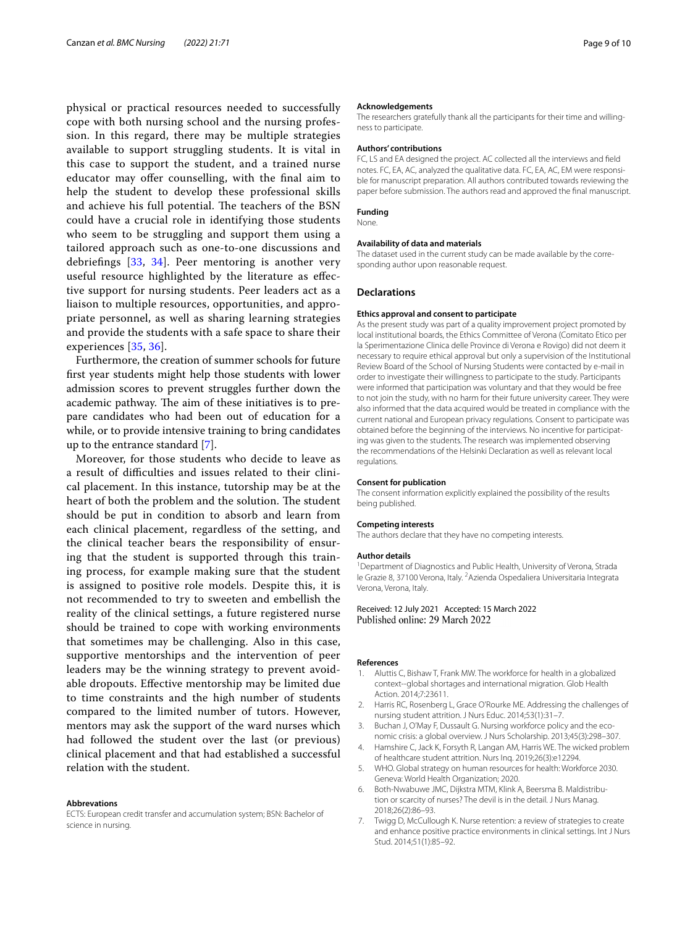physical or practical resources needed to successfully cope with both nursing school and the nursing profession. In this regard, there may be multiple strategies available to support struggling students. It is vital in this case to support the student, and a trained nurse educator may offer counselling, with the final aim to help the student to develop these professional skills and achieve his full potential. The teachers of the BSN could have a crucial role in identifying those students who seem to be struggling and support them using a tailored approach such as one-to-one discussions and debriefngs [[33,](#page-9-25) [34](#page-9-26)]. Peer mentoring is another very useful resource highlighted by the literature as efective support for nursing students. Peer leaders act as a liaison to multiple resources, opportunities, and appropriate personnel, as well as sharing learning strategies and provide the students with a safe space to share their experiences [[35](#page-9-27), [36](#page-9-28)].

Furthermore, the creation of summer schools for future frst year students might help those students with lower admission scores to prevent struggles further down the academic pathway. The aim of these initiatives is to prepare candidates who had been out of education for a while, or to provide intensive training to bring candidates up to the entrance standard [[7\]](#page-8-5).

Moreover, for those students who decide to leave as a result of difculties and issues related to their clinical placement. In this instance, tutorship may be at the heart of both the problem and the solution. The student should be put in condition to absorb and learn from each clinical placement, regardless of the setting, and the clinical teacher bears the responsibility of ensuring that the student is supported through this training process, for example making sure that the student is assigned to positive role models. Despite this, it is not recommended to try to sweeten and embellish the reality of the clinical settings, a future registered nurse should be trained to cope with working environments that sometimes may be challenging. Also in this case, supportive mentorships and the intervention of peer leaders may be the winning strategy to prevent avoidable dropouts. Efective mentorship may be limited due to time constraints and the high number of students compared to the limited number of tutors. However, mentors may ask the support of the ward nurses which had followed the student over the last (or previous) clinical placement and that had established a successful relation with the student.

#### **Abbrevations**

ECTS: European credit transfer and accumulation system; BSN: Bachelor of science in nursing.

#### **Acknowledgements**

The researchers gratefully thank all the participants for their time and willingness to participate.

#### **Authors' contributions**

FC, LS and EA designed the project. AC collected all the interviews and feld notes. FC, EA, AC, analyzed the qualitative data. FC, EA, AC, EM were responsible for manuscript preparation. All authors contributed towards reviewing the paper before submission. The authors read and approved the fnal manuscript.

#### **Funding**

None.

#### **Availability of data and materials**

The dataset used in the current study can be made available by the corresponding author upon reasonable request.

#### **Declarations**

#### **Ethics approval and consent to participate**

As the present study was part of a quality improvement project promoted by local institutional boards, the Ethics Committee of Verona (Comitato Etico per la Sperimentazione Clinica delle Province di Verona e Rovigo) did not deem it necessary to require ethical approval but only a supervision of the Institutional Review Board of the School of Nursing Students were contacted by e-mail in order to investigate their willingness to participate to the study. Participants were informed that participation was voluntary and that they would be free to not join the study, with no harm for their future university career. They were also informed that the data acquired would be treated in compliance with the current national and European privacy regulations. Consent to participate was obtained before the beginning of the interviews. No incentive for participating was given to the students. The research was implemented observing the recommendations of the Helsinki Declaration as well as relevant local regulations.

#### **Consent for publication**

The consent information explicitly explained the possibility of the results being published.

#### **Competing interests**

The authors declare that they have no competing interests.

#### **Author details**

<sup>1</sup> Department of Diagnostics and Public Health, University of Verona, Strada le Grazie 8, 37100 Verona, Italy. <sup>2</sup> Azienda Ospedaliera Universitaria Integrata Verona, Verona, Italy.

Received: 12 July 2021 Accepted: 15 March 2022 Published online: 29 March 2022

#### **References**

- <span id="page-8-0"></span>1. Aluttis C, Bishaw T, Frank MW. The workforce for health in a globalized context--global shortages and international migration. Glob Health Action. 2014;7:23611.
- <span id="page-8-1"></span>2. Harris RC, Rosenberg L, Grace O'Rourke ME. Addressing the challenges of nursing student attrition. J Nurs Educ. 2014;53(1):31–7.
- <span id="page-8-2"></span>3. Buchan J, O'May F, Dussault G. Nursing workforce policy and the economic crisis: a global overview. J Nurs Scholarship. 2013;45(3):298–307.
- <span id="page-8-3"></span>4. Hamshire C, Jack K, Forsyth R, Langan AM, Harris WE. The wicked problem of healthcare student attrition. Nurs Inq. 2019;26(3):e12294.
- <span id="page-8-4"></span>5. WHO. Global strategy on human resources for health: Workforce 2030. Geneva: World Health Organization; 2020.
- 6. Both-Nwabuwe JMC, Dijkstra MTM, Klink A, Beersma B. Maldistribution or scarcity of nurses? The devil is in the detail. J Nurs Manag. 2018;26(2):86–93.
- <span id="page-8-5"></span>7. Twigg D, McCullough K. Nurse retention: a review of strategies to create and enhance positive practice environments in clinical settings. Int J Nurs Stud. 2014;51(1):85–92.